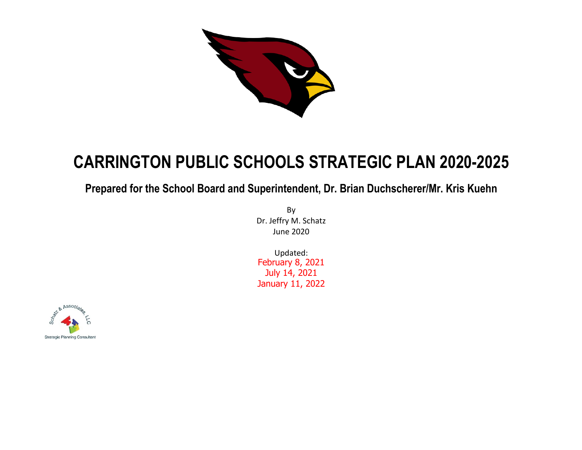

# **CARRINGTON PUBLIC SCHOOLS STRATEGIC PLAN 2020-2025**

# **Prepared for the School Board and Superintendent, Dr. Brian Duchscherer/Mr. Kris Kuehn**

By Dr. Jeffry M. Schatz June 2020

Updated: February 8, 2021 July 14, 2021 January 11, 2022

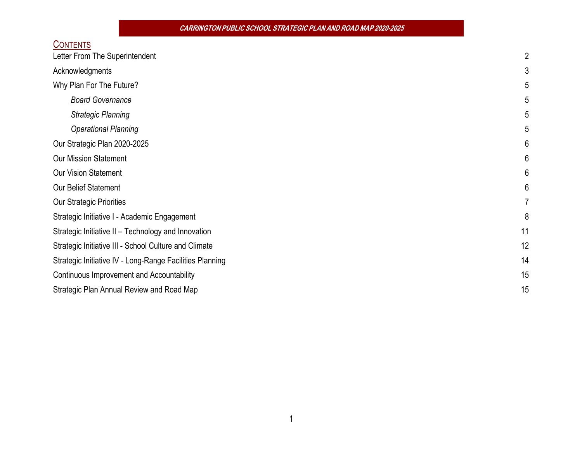**CARRINGTON PUBLIC SCHOOL STRATEGIC PLAN AND ROADMAP 2020-2025**

| <b>CONTENTS</b>                                          |    |
|----------------------------------------------------------|----|
| Letter From The Superintendent                           |    |
| Acknowledgments                                          |    |
| Why Plan For The Future?                                 |    |
| <b>Board Governance</b>                                  |    |
| <b>Strategic Planning</b>                                |    |
| <b>Operational Planning</b>                              |    |
| Our Strategic Plan 2020-2025                             |    |
| <b>Our Mission Statement</b>                             | 6  |
| <b>Our Vision Statement</b>                              | 6  |
| <b>Our Belief Statement</b>                              | 6  |
| <b>Our Strategic Priorities</b>                          |    |
| Strategic Initiative I - Academic Engagement             | 8  |
| Strategic Initiative II - Technology and Innovation      | 11 |
| Strategic Initiative III - School Culture and Climate    | 12 |
| Strategic Initiative IV - Long-Range Facilities Planning | 14 |
| Continuous Improvement and Accountability                | 15 |
| Strategic Plan Annual Review and Road Map                | 15 |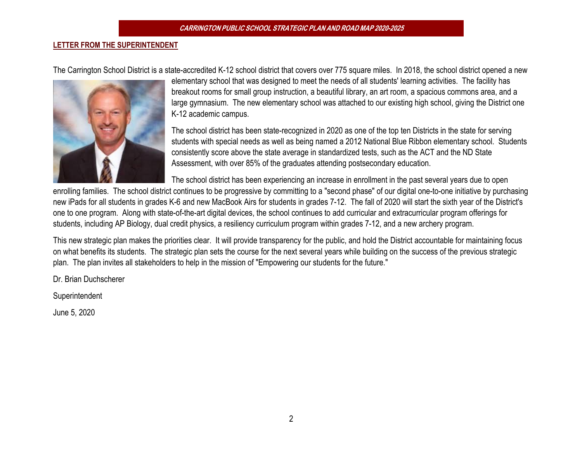#### **LETTER FROM THE SUPERINTENDENT**

The Carrington School District is a state-accredited K-12 school district that covers over 775 square miles. In 2018, the school district opened a new



elementary school that was designed to meet the needs of all students' learning activities. The facility has breakout rooms for small group instruction, a beautiful library, an art room, a spacious commons area, and a large gymnasium. The new elementary school was attached to our existing high school, giving the District one K-12 academic campus.

The school district has been state-recognized in 2020 as one of the top ten Districts in the state for serving students with special needs as well as being named a 2012 National Blue Ribbon elementary school. Students consistently score above the state average in standardized tests, such as the ACT and the ND State Assessment, with over 85% of the graduates attending postsecondary education.

The school district has been experiencing an increase in enrollment in the past several years due to open

enrolling families. The school district continues to be progressive by committing to a "second phase" of our digital one-to-one initiative by purchasing new iPads for all students in grades K-6 and new MacBook Airs for students in grades 7-12. The fall of 2020 will start the sixth year of the District's one to one program. Along with state-of-the-art digital devices, the school continues to add curricular and extracurricular program offerings for students, including AP Biology, dual credit physics, a resiliency curriculum program within grades 7-12, and a new archery program.

This new strategic plan makes the priorities clear. It will provide transparency for the public, and hold the District accountable for maintaining focus on what benefits its students. The strategic plan sets the course for the next several years while building on the success of the previous strategic plan. The plan invites all stakeholders to help in the mission of "Empowering our students for the future."

Dr. Brian Duchscherer

**Superintendent** 

June 5, 2020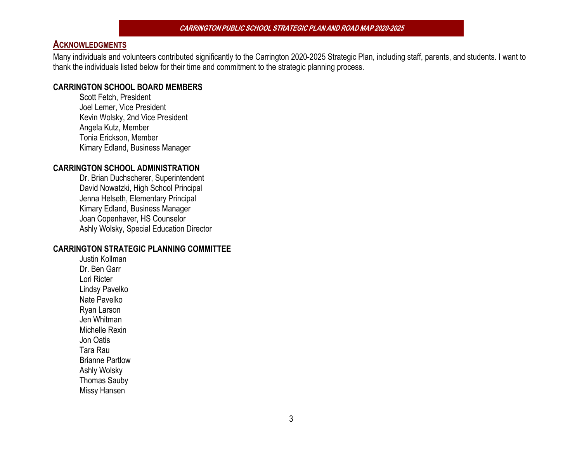#### **ACKNOWLEDGMENTS**

Many individuals and volunteers contributed significantly to the Carrington 2020-2025 Strategic Plan, including staff, parents, and students. I want to thank the individuals listed below for their time and commitment to the strategic planning process.

#### **CARRINGTON SCHOOL BOARD MEMBERS**

Scott Fetch, President Joel Lemer, Vice President Kevin Wolsky, 2nd Vice President Angela Kutz, Member Tonia Erickson, Member Kimary Edland, Business Manager

#### **CARRINGTON SCHOOL ADMINISTRATION**

Dr. Brian Duchscherer, Superintendent David Nowatzki, High School Principal Jenna Helseth, Elementary Principal Kimary Edland, Business Manager Joan Copenhaver, HS Counselor Ashly Wolsky, Special Education Director

#### **CARRINGTON STRATEGIC PLANNING COMMITTEE**

Justin Kollman Dr. Ben Garr Lori Ricter Lindsy Pavelko Nate Pavelko Ryan Larson Jen Whitman Michelle Rexin Jon Oatis Tara Rau Brianne Partlow Ashly Wolsky Thomas Sauby Missy Hansen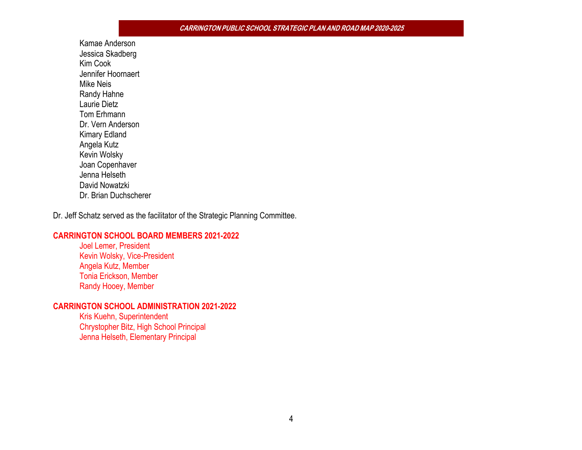Kamae Anderson Jessica Skadberg Kim Cook Jennifer Hoornaert Mike Neis Randy Hahne Laurie Dietz Tom Erhmann Dr. Vern Anderson Kimary Edland Angela Kutz Kevin Wolsky Joan Copenhaver Jenna Helseth David Nowatzki Dr. Brian Duchscherer

Dr. Jeff Schatz served as the facilitator of the Strategic Planning Committee.

#### **CARRINGTON SCHOOL BOARD MEMBERS 2021-2022**

Joel Lemer, President Kevin Wolsky, Vice-President Angela Kutz, Member Tonia Erickson, Member Randy Hooey, Member

#### **CARRINGTON SCHOOL ADMINISTRATION 2021-2022**

Kris Kuehn, Superintendent Chrystopher Bitz, High School Principal Jenna Helseth, Elementary Principal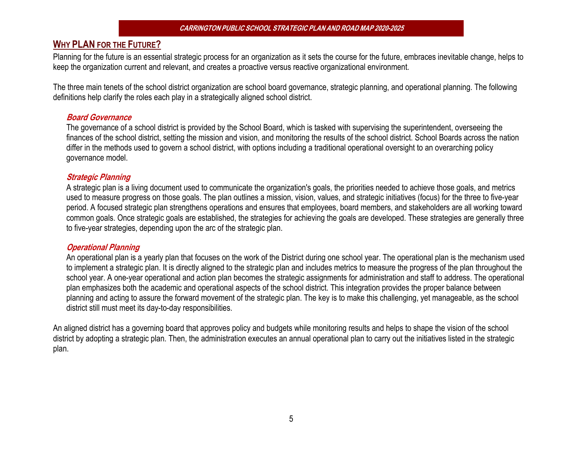# **WHY PLAN FOR THE FUTURE?**

Planning for the future is an essential strategic process for an organization as it sets the course for the future, embraces inevitable change, helps to keep the organization current and relevant, and creates a proactive versus reactive organizational environment.

The three main tenets of the school district organization are school board governance, strategic planning, and operational planning. The following definitions help clarify the roles each play in a strategically aligned school district.

#### **Board Governance**

The governance of a school district is provided by the School Board, which is tasked with supervising the superintendent, overseeing the finances of the school district, setting the mission and vision, and monitoring the results of the school district. School Boards across the nation differ in the methods used to govern a school district, with options including a traditional operational oversight to an overarching policy governance model.

#### **Strategic Planning**

A strategic plan is a living document used to communicate the organization's goals, the priorities needed to achieve those goals, and metrics used to measure progress on those goals. The plan outlines a mission, vision, values, and strategic initiatives (focus) for the three to five-year period. A focused strategic plan strengthens operations and ensures that employees, board members, and stakeholders are all working toward common goals. Once strategic goals are established, the strategies for achieving the goals are developed. These strategies are generally three to five-year strategies, depending upon the arc of the strategic plan.

#### **Operational Planning**

An operational plan is a yearly plan that focuses on the work of the District during one school year. The operational plan is the mechanism used to implement a strategic plan. It is directly aligned to the strategic plan and includes metrics to measure the progress of the plan throughout the school year. A one-year operational and action plan becomes the strategic assignments for administration and staff to address. The operational plan emphasizes both the academic and operational aspects of the school district. This integration provides the proper balance between planning and acting to assure the forward movement of the strategic plan. The key is to make this challenging, yet manageable, as the school district still must meet its day-to-day responsibilities.

An aligned district has a governing board that approves policy and budgets while monitoring results and helps to shape the vision of the school district by adopting a strategic plan. Then, the administration executes an annual operational plan to carry out the initiatives listed in the strategic plan.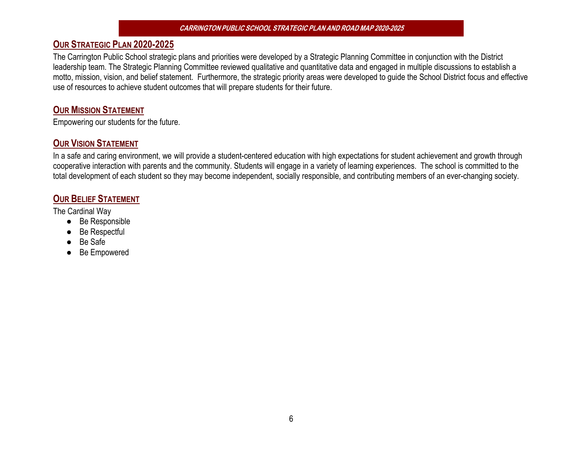# **OUR STRATEGIC PLAN 2020-2025**

The Carrington Public School strategic plans and priorities were developed by a Strategic Planning Committee in conjunction with the District leadership team. The Strategic Planning Committee reviewed qualitative and quantitative data and engaged in multiple discussions to establish a motto, mission, vision, and belief statement. Furthermore, the strategic priority areas were developed to guide the School District focus and effective use of resources to achieve student outcomes that will prepare students for their future.

# **OUR MISSION STATEMENT**

Empowering our students for the future.

# **OUR VISION STATEMENT**

In a safe and caring environment, we will provide a student-centered education with high expectations for student achievement and growth through cooperative interaction with parents and the community. Students will engage in a variety of learning experiences. The school is committed to the total development of each student so they may become independent, socially responsible, and contributing members of an ever-changing society.

# **OUR BELIEF STATEMENT**

The Cardinal Way

- Be Responsible
- **Be Respectful**
- Be Safe
- **Be Empowered**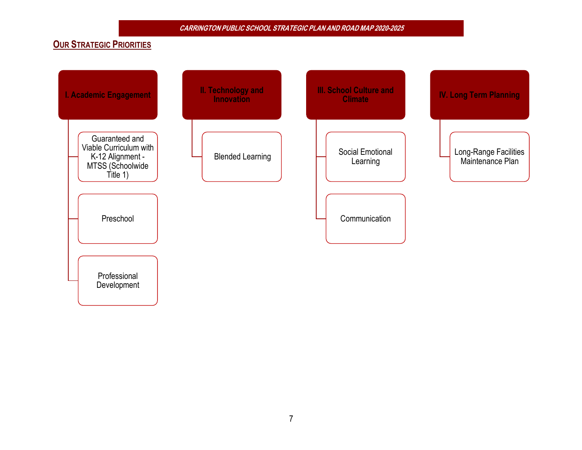# **OUR STRATEGIC PRIORITIES**

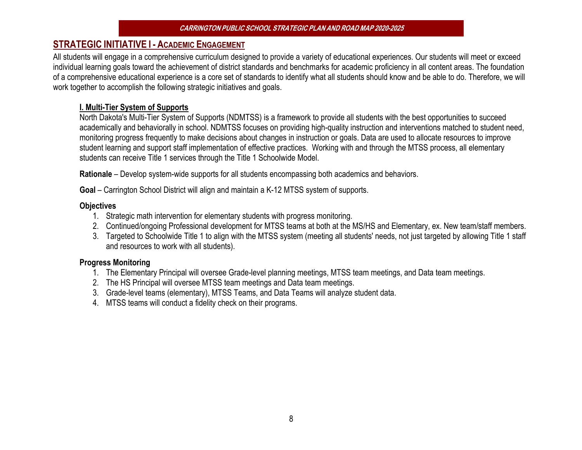# **STRATEGIC INITIATIVE I - ACADEMIC ENGAGEMENT**

All students will engage in a comprehensive curriculum designed to provide a variety of educational experiences. Our students will meet or exceed individual learning goals toward the achievement of district standards and benchmarks for academic proficiency in all content areas. The foundation of a comprehensive educational experience is a core set of standards to identify what all students should know and be able to do. Therefore, we will work together to accomplish the following strategic initiatives and goals.

#### **I. Multi-Tier System of Supports**

North Dakota's Multi-Tier System of Supports (NDMTSS) is a framework to provide all students with the best opportunities to succeed academically and behaviorally in school. NDMTSS focuses on providing high-quality instruction and interventions matched to student need, monitoring progress frequently to make decisions about changes in instruction or goals. Data are used to allocate resources to improve student learning and support staff implementation of effective practices. Working with and through the MTSS process, all elementary students can receive Title 1 services through the Title 1 Schoolwide Model.

**Rationale** – Develop system-wide supports for all students encompassing both academics and behaviors.

**Goal** – Carrington School District will align and maintain a K-12 MTSS system of supports.

#### **Objectives**

- 1. Strategic math intervention for elementary students with progress monitoring.
- 2. Continued/ongoing Professional development for MTSS teams at both at the MS/HS and Elementary, ex. New team/staff members.
- 3. Targeted to Schoolwide Title 1 to align with the MTSS system (meeting all students' needs, not just targeted by allowing Title 1 staff and resources to work with all students).

- 1. The Elementary Principal will oversee Grade-level planning meetings, MTSS team meetings, and Data team meetings.
- 2. The HS Principal will oversee MTSS team meetings and Data team meetings.
- 3. Grade-level teams (elementary), MTSS Teams, and Data Teams will analyze student data.
- 4. MTSS teams will conduct a fidelity check on their programs.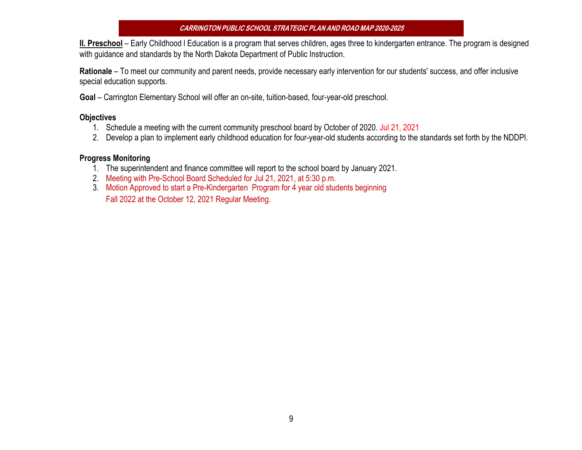**II. Preschool** – Early Childhood l Education is a program that serves children, ages three to kindergarten entrance. The program is designed with guidance and standards by the North Dakota Department of Public Instruction.

**Rationale** – To meet our community and parent needs, provide necessary early intervention for our students' success, and offer inclusive special education supports.

**Goal** – Carrington Elementary School will offer an on-site, tuition-based, four-year-old preschool.

#### **Objectives**

- 1. Schedule a meeting with the current community preschool board by October of 2020. Jul 21, 2021
- 2. Develop a plan to implement early childhood education for four-year-old students according to the standards set forth by the NDDPI.

- 1. The superintendent and finance committee will report to the school board by January 2021.
- 2. Meeting with Pre-School Board Scheduled for Jul 21, 2021, at 5:30 p.m.
- 3. Motion Approved to start a Pre-Kindergarten Program for 4 year old students beginning Fall 2022 at the October 12, 2021 Regular Meeting.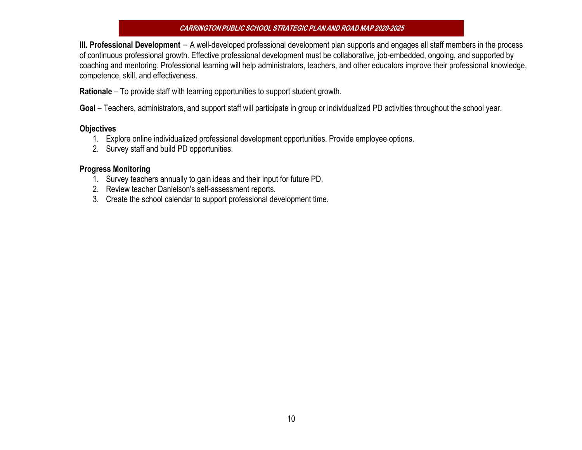**III. Professional Development** – A well-developed professional development plan supports and engages all staff members in the process of continuous professional growth. Effective professional development must be collaborative, job-embedded, ongoing, and supported by coaching and mentoring. Professional learning will help administrators, teachers, and other educators improve their professional knowledge, competence, skill, and effectiveness.

**Rationale** – To provide staff with learning opportunities to support student growth.

**Goal** – Teachers, administrators, and support staff will participate in group or individualized PD activities throughout the school year.

#### **Objectives**

- 1. Explore online individualized professional development opportunities. Provide employee options.
- 2. Survey staff and build PD opportunities.

- 1. Survey teachers annually to gain ideas and their input for future PD.
- 2. Review teacher Danielson's self-assessment reports.
- 3. Create the school calendar to support professional development time.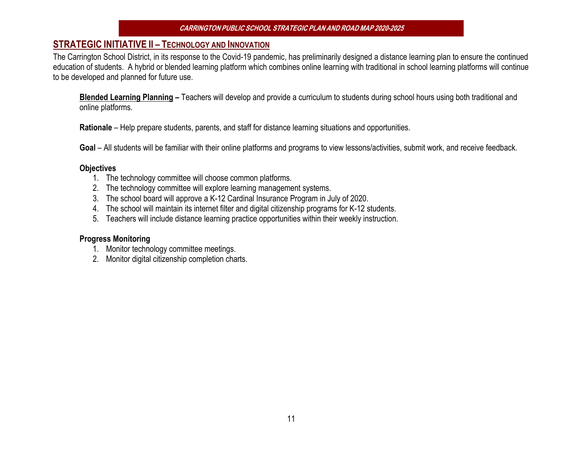# **STRATEGIC INITIATIVE II – TECHNOLOGY AND INNOVATION**

The Carrington School District, in its response to the Covid-19 pandemic, has preliminarily designed a distance learning plan to ensure the continued education of students. A hybrid or blended learning platform which combines online learning with traditional in school learning platforms will continue to be developed and planned for future use.

**Blended Learning Planning –** Teachers will develop and provide a curriculum to students during school hours using both traditional and online platforms.

**Rationale** – Help prepare students, parents, and staff for distance learning situations and opportunities.

Goal – All students will be familiar with their online platforms and programs to view lessons/activities, submit work, and receive feedback.

#### **Objectives**

- 1. The technology committee will choose common platforms.
- 2. The technology committee will explore learning management systems.
- 3. The school board will approve a K-12 Cardinal Insurance Program in July of 2020.
- 4. The school will maintain its internet filter and digital citizenship programs for K-12 students.
- 5. Teachers will include distance learning practice opportunities within their weekly instruction.

- 1. Monitor technology committee meetings.
- 2. Monitor digital citizenship completion charts.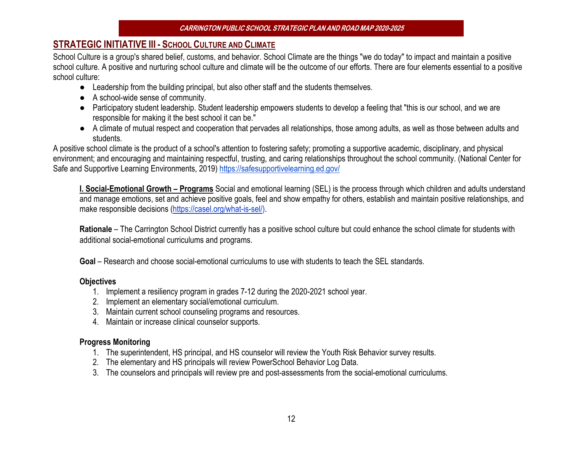# **STRATEGIC INITIATIVE III - SCHOOL CULTURE AND CLIMATE**

School Culture is a group's shared belief, customs, and behavior. School Climate are the things "we do today" to impact and maintain a positive school culture. A positive and nurturing school culture and climate will be the outcome of our efforts. There are four elements essential to a positive school culture:

- Leadership from the building principal, but also other staff and the students themselves.
- A school-wide sense of community.
- Participatory student leadership. Student leadership empowers students to develop a feeling that "this is our school, and we are responsible for making it the best school it can be."
- A climate of mutual respect and cooperation that pervades all relationships, those among adults, as well as those between adults and students.

A positive school climate is the product of a school's attention to fostering safety; promoting a supportive academic, disciplinary, and physical environment; and encouraging and maintaining respectful, trusting, and caring relationships throughout the school community. (National Center for Safe and Supportive Learning Environments, 2019) https://safesupportivelearning.ed.gov/

**I. Social-Emotional Growth – Programs** Social and emotional learning (SEL) is the process through which children and adults understand and manage emotions, set and achieve positive goals, feel and show empathy for others, establish and maintain positive relationships, and make responsible decisions (https://casel.org/what-is-sel/).

**Rationale** – The Carrington School District currently has a positive school culture but could enhance the school climate for students with additional social-emotional curriculums and programs.

**Goal** – Research and choose social-emotional curriculums to use with students to teach the SEL standards.

#### **Objectives**

- 1. Implement a resiliency program in grades 7-12 during the 2020-2021 school year.
- 2. Implement an elementary social/emotional curriculum.
- 3. Maintain current school counseling programs and resources.
- 4. Maintain or increase clinical counselor supports.

- 1. The superintendent, HS principal, and HS counselor will review the Youth Risk Behavior survey results.
- 2. The elementary and HS principals will review PowerSchool Behavior Log Data.
- 3. The counselors and principals will review pre and post-assessments from the social-emotional curriculums.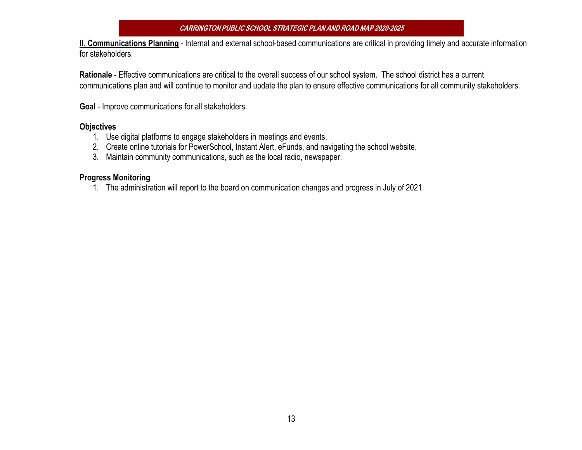**II. Communications Planning** - Internal and external school-based communications are critical in providing timely and accurate information for stakeholders.

**Rationale** - Effective communications are critical to the overall success of our school system. The school district has a current communications plan and will continue to monitor and update the plan to ensure effective communications for all community stakeholders.

**Goal** - Improve communications for all stakeholders.

#### **Objectives**

- 1. Use digital platforms to engage stakeholders in meetings and events.
- 2. Create online tutorials for PowerSchool, Instant Alert, eFunds, and navigating the school website.
- 3. Maintain community communications, such as the local radio, newspaper.

#### **Progress Monitoring**

1. The administration will report to the board on communication changes and progress in July of 2021.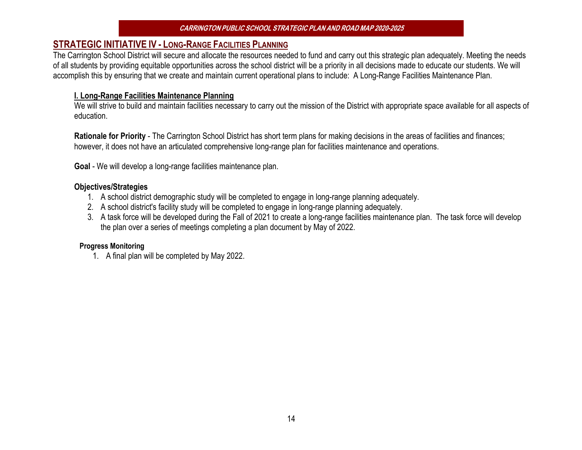## **STRATEGIC INITIATIVE IV - LONG-RANGE FACILITIES PLANNING**

The Carrington School District will secure and allocate the resources needed to fund and carry out this strategic plan adequately. Meeting the needs of all students by providing equitable opportunities across the school district will be a priority in all decisions made to educate our students. We will accomplish this by ensuring that we create and maintain current operational plans to include: A Long-Range Facilities Maintenance Plan.

#### **I. Long-Range Facilities Maintenance Planning**

We will strive to build and maintain facilities necessary to carry out the mission of the District with appropriate space available for all aspects of education.

**Rationale for Priority** - The Carrington School District has short term plans for making decisions in the areas of facilities and finances; however, it does not have an articulated comprehensive long-range plan for facilities maintenance and operations.

**Goal** - We will develop a long-range facilities maintenance plan.

#### **Objectives/Strategies**

- 1. A school district demographic study will be completed to engage in long-range planning adequately.
- 2. A school district's facility study will be completed to engage in long-range planning adequately.
- 3. A task force will be developed during the Fall of 2021 to create a long-range facilities maintenance plan. The task force will develop the plan over a series of meetings completing a plan document by May of 2022.

#### **Progress Monitoring**

1. A final plan will be completed by May 2022.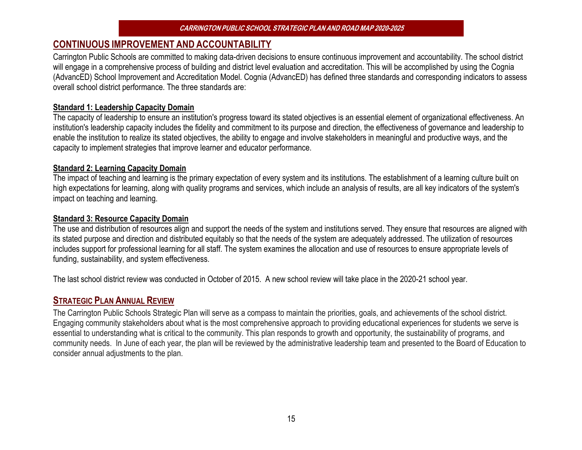# **CONTINUOUS IMPROVEMENT AND ACCOUNTABILITY**

Carrington Public Schools are committed to making data-driven decisions to ensure continuous improvement and accountability. The school district will engage in a comprehensive process of building and district level evaluation and accreditation. This will be accomplished by using the Cognia (AdvancED) School Improvement and Accreditation Model. Cognia (AdvancED) has defined three standards and corresponding indicators to assess overall school district performance. The three standards are:

#### **Standard 1: Leadership Capacity Domain**

The capacity of leadership to ensure an institution's progress toward its stated objectives is an essential element of organizational effectiveness. An institution's leadership capacity includes the fidelity and commitment to its purpose and direction, the effectiveness of governance and leadership to enable the institution to realize its stated objectives, the ability to engage and involve stakeholders in meaningful and productive ways, and the capacity to implement strategies that improve learner and educator performance.

#### **Standard 2: Learning Capacity Domain**

The impact of teaching and learning is the primary expectation of every system and its institutions. The establishment of a learning culture built on high expectations for learning, along with quality programs and services, which include an analysis of results, are all key indicators of the system's impact on teaching and learning.

#### **Standard 3: Resource Capacity Domain**

The use and distribution of resources align and support the needs of the system and institutions served. They ensure that resources are aligned with its stated purpose and direction and distributed equitably so that the needs of the system are adequately addressed. The utilization of resources includes support for professional learning for all staff. The system examines the allocation and use of resources to ensure appropriate levels of funding, sustainability, and system effectiveness.

The last school district review was conducted in October of 2015. A new school review will take place in the 2020-21 school year.

## **STRATEGIC PLAN ANNUAL REVIEW**

The Carrington Public Schools Strategic Plan will serve as a compass to maintain the priorities, goals, and achievements of the school district. Engaging community stakeholders about what is the most comprehensive approach to providing educational experiences for students we serve is essential to understanding what is critical to the community. This plan responds to growth and opportunity, the sustainability of programs, and community needs. In June of each year, the plan will be reviewed by the administrative leadership team and presented to the Board of Education to consider annual adjustments to the plan.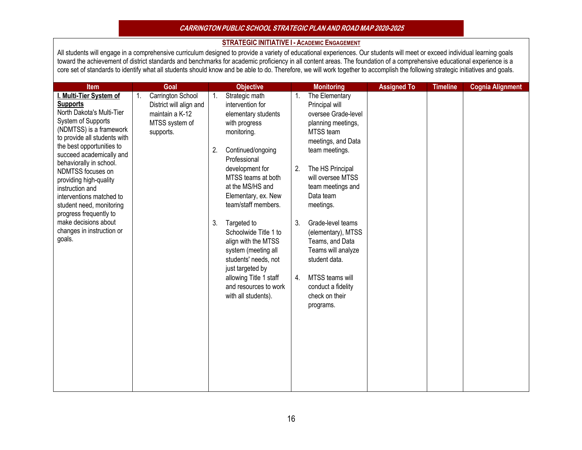#### **CARRINGTON PUBLIC SCHOOL STRATEGIC PLAN AND ROADMAP 2020-2025**

#### **STRATEGIC INITIATIVE I - ACADEMIC ENGAGEMENT**

All students will engage in a comprehensive curriculum designed to provide a variety of educational experiences. Our students will meet or exceed individual learning goals toward the achievement of district standards and benchmarks for academic proficiency in all content areas. The foundation of a comprehensive educational experience is a core set of standards to identify what all students should know and be able to do. Therefore, we will work together to accomplish the following strategic initiatives and goals.

| <b>Item</b>                                                                                                                                                                                                                                                                                                                                                                                                                                                     | Goal                                                                                                 | <b>Objective</b>                                                                                                                                                                                                                                                                                                                                                                                                                                                        | <b>Monitoring</b>                                                                                                                                                                                                                                                                                                                                                                                                                           | <b>Assigned To</b> | <b>Timeline</b> | <b>Cognia Alignment</b> |
|-----------------------------------------------------------------------------------------------------------------------------------------------------------------------------------------------------------------------------------------------------------------------------------------------------------------------------------------------------------------------------------------------------------------------------------------------------------------|------------------------------------------------------------------------------------------------------|-------------------------------------------------------------------------------------------------------------------------------------------------------------------------------------------------------------------------------------------------------------------------------------------------------------------------------------------------------------------------------------------------------------------------------------------------------------------------|---------------------------------------------------------------------------------------------------------------------------------------------------------------------------------------------------------------------------------------------------------------------------------------------------------------------------------------------------------------------------------------------------------------------------------------------|--------------------|-----------------|-------------------------|
| I. Multi-Tier System of<br><b>Supports</b><br>North Dakota's Multi-Tier<br>System of Supports<br>(NDMTSS) is a framework<br>to provide all students with<br>the best opportunities to<br>succeed academically and<br>behaviorally in school.<br>NDMTSS focuses on<br>providing high-quality<br>instruction and<br>interventions matched to<br>student need, monitoring<br>progress frequently to<br>make decisions about<br>changes in instruction or<br>goals. | Carrington School<br>1.<br>District will align and<br>maintain a K-12<br>MTSS system of<br>supports. | Strategic math<br>1.<br>intervention for<br>elementary students<br>with progress<br>monitoring.<br>Continued/ongoing<br>2.<br>Professional<br>development for<br>MTSS teams at both<br>at the MS/HS and<br>Elementary, ex. New<br>team/staff members.<br>3.<br>Targeted to<br>Schoolwide Title 1 to<br>align with the MTSS<br>system (meeting all<br>students' needs, not<br>just targeted by<br>allowing Title 1 staff<br>and resources to work<br>with all students). | The Elementary<br>$\mathbf{1}$ .<br>Principal will<br>oversee Grade-level<br>planning meetings,<br>MTSS team<br>meetings, and Data<br>team meetings.<br>The HS Principal<br>2.<br>will oversee MTSS<br>team meetings and<br>Data team<br>meetings.<br>3.<br>Grade-level teams<br>(elementary), MTSS<br>Teams, and Data<br>Teams will analyze<br>student data.<br>MTSS teams will<br>4.<br>conduct a fidelity<br>check on their<br>programs. |                    |                 |                         |
|                                                                                                                                                                                                                                                                                                                                                                                                                                                                 |                                                                                                      |                                                                                                                                                                                                                                                                                                                                                                                                                                                                         |                                                                                                                                                                                                                                                                                                                                                                                                                                             |                    |                 |                         |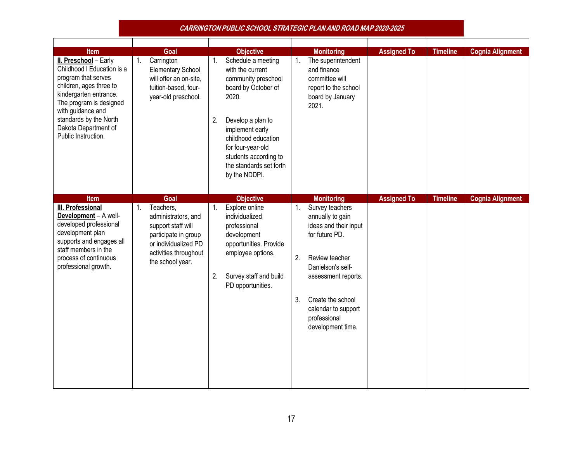|                                                                                                                                                                                                                                                          |    |                                                                                                                                                     |          | <b>CARRINGTON PUBLIC SCHOOL STRATEGIC PLAN AND ROAD MAP 2020-2025</b>                                                                                                                                                                                  |          |                                                                                                                                                                                                                               |                    |                 |                         |
|----------------------------------------------------------------------------------------------------------------------------------------------------------------------------------------------------------------------------------------------------------|----|-----------------------------------------------------------------------------------------------------------------------------------------------------|----------|--------------------------------------------------------------------------------------------------------------------------------------------------------------------------------------------------------------------------------------------------------|----------|-------------------------------------------------------------------------------------------------------------------------------------------------------------------------------------------------------------------------------|--------------------|-----------------|-------------------------|
| <b>Item</b>                                                                                                                                                                                                                                              |    | Goal                                                                                                                                                |          | <b>Objective</b>                                                                                                                                                                                                                                       |          | <b>Monitoring</b>                                                                                                                                                                                                             | <b>Assigned To</b> | <b>Timeline</b> | <b>Cognia Alignment</b> |
| II. Preschool - Early<br>Childhood I Education is a<br>program that serves<br>children, ages three to<br>kindergarten entrance.<br>The program is designed<br>with guidance and<br>standards by the North<br>Dakota Department of<br>Public Instruction. | 1. | Carrington<br><b>Elementary School</b><br>will offer an on-site,<br>tuition-based, four-<br>year-old preschool.                                     | 1.<br>2. | Schedule a meeting<br>with the current<br>community preschool<br>board by October of<br>2020.<br>Develop a plan to<br>implement early<br>childhood education<br>for four-year-old<br>students according to<br>the standards set forth<br>by the NDDPI. | 1.       | The superintendent<br>and finance<br>committee will<br>report to the school<br>board by January<br>2021.                                                                                                                      |                    |                 |                         |
| Item                                                                                                                                                                                                                                                     |    | Goal                                                                                                                                                |          | <b>Objective</b>                                                                                                                                                                                                                                       |          | <b>Monitoring</b>                                                                                                                                                                                                             | <b>Assigned To</b> | <b>Timeline</b> | <b>Cognia Alignment</b> |
| <b>III. Professional</b><br>Development - A well-<br>developed professional<br>development plan<br>supports and engages all<br>staff members in the<br>process of continuous<br>professional growth.                                                     | 1. | Teachers,<br>administrators, and<br>support staff will<br>participate in group<br>or individualized PD<br>activities throughout<br>the school year. | 1.<br>2. | Explore online<br>individualized<br>professional<br>development<br>opportunities. Provide<br>employee options.<br>Survey staff and build<br>PD opportunities.                                                                                          | 2.<br>3. | Survey teachers<br>annually to gain<br>ideas and their input<br>for future PD.<br>Review teacher<br>Danielson's self-<br>assessment reports.<br>Create the school<br>calendar to support<br>professional<br>development time. |                    |                 |                         |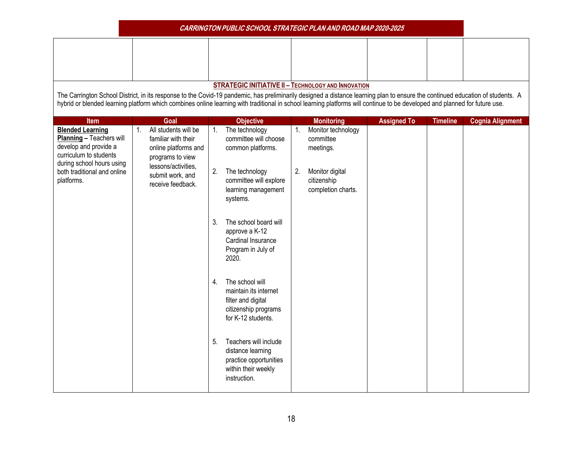|                                                                                                                                                                                                                                                                                                                                                              |                                                                                         |    | <b>CARRINGTON PUBLIC SCHOOL STRATEGIC PLAN AND ROAD MAP 2020-2025</b>                                        |    |                                                      |                    |                 |                         |
|--------------------------------------------------------------------------------------------------------------------------------------------------------------------------------------------------------------------------------------------------------------------------------------------------------------------------------------------------------------|-----------------------------------------------------------------------------------------|----|--------------------------------------------------------------------------------------------------------------|----|------------------------------------------------------|--------------------|-----------------|-------------------------|
|                                                                                                                                                                                                                                                                                                                                                              |                                                                                         |    |                                                                                                              |    |                                                      |                    |                 |                         |
| The Carrington School District, in its response to the Covid-19 pandemic, has preliminarily designed a distance learning plan to ensure the continued education of students. A<br>hybrid or blended learning platform which combines online learning with traditional in school learning platforms will continue to be developed and planned for future use. |                                                                                         |    | <b>STRATEGIC INITIATIVE II - TECHNOLOGY AND INNOVATION</b>                                                   |    |                                                      |                    |                 |                         |
| <b>Item</b>                                                                                                                                                                                                                                                                                                                                                  | Goal                                                                                    |    | <b>Objective</b>                                                                                             |    | <b>Monitoring</b>                                    | <b>Assigned To</b> | <b>Timeline</b> | <b>Cognia Alignment</b> |
| <b>Blended Learning</b><br>Planning - Teachers will<br>develop and provide a<br>curriculum to students<br>during school hours using                                                                                                                                                                                                                          | All students will be<br>familiar with their<br>online platforms and<br>programs to view | 1. | The technology<br>committee will choose<br>common platforms.                                                 | 1. | Monitor technology<br>committee<br>meetings.         |                    |                 |                         |
| both traditional and online<br>platforms.                                                                                                                                                                                                                                                                                                                    | lessons/activities.<br>submit work, and<br>receive feedback.                            | 2. | The technology<br>committee will explore<br>learning management<br>systems.                                  | 2. | Monitor digital<br>citizenship<br>completion charts. |                    |                 |                         |
|                                                                                                                                                                                                                                                                                                                                                              |                                                                                         | 3. | The school board will<br>approve a K-12<br>Cardinal Insurance<br>Program in July of<br>2020.                 |    |                                                      |                    |                 |                         |
|                                                                                                                                                                                                                                                                                                                                                              |                                                                                         | 4. | The school will<br>maintain its internet<br>filter and digital<br>citizenship programs<br>for K-12 students. |    |                                                      |                    |                 |                         |
|                                                                                                                                                                                                                                                                                                                                                              |                                                                                         | 5. | Teachers will include<br>distance learning<br>practice opportunities<br>within their weekly<br>instruction.  |    |                                                      |                    |                 |                         |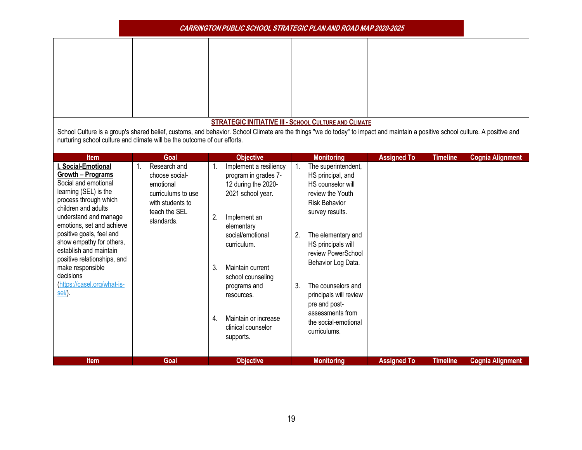|                                                                                                                                                                                                                                                                                                                                                                                                                   |                                                                                                                              | <b>CARRINGTON PUBLIC SCHOOL STRATEGIC PLAN AND ROAD MAP 2020-2025</b>                                                                                                                                                                                                                                                                                 |                                                                                                                                                                                                                                                                                                                                                                                          |                                                                                                                                                                                |                         |
|-------------------------------------------------------------------------------------------------------------------------------------------------------------------------------------------------------------------------------------------------------------------------------------------------------------------------------------------------------------------------------------------------------------------|------------------------------------------------------------------------------------------------------------------------------|-------------------------------------------------------------------------------------------------------------------------------------------------------------------------------------------------------------------------------------------------------------------------------------------------------------------------------------------------------|------------------------------------------------------------------------------------------------------------------------------------------------------------------------------------------------------------------------------------------------------------------------------------------------------------------------------------------------------------------------------------------|--------------------------------------------------------------------------------------------------------------------------------------------------------------------------------|-------------------------|
|                                                                                                                                                                                                                                                                                                                                                                                                                   |                                                                                                                              | <b>STRATEGIC INITIATIVE III - SCHOOL CULTURE AND CLIMATE</b>                                                                                                                                                                                                                                                                                          |                                                                                                                                                                                                                                                                                                                                                                                          |                                                                                                                                                                                |                         |
| nurturing school culture and climate will be the outcome of our efforts.                                                                                                                                                                                                                                                                                                                                          |                                                                                                                              |                                                                                                                                                                                                                                                                                                                                                       |                                                                                                                                                                                                                                                                                                                                                                                          | School Culture is a group's shared belief, customs, and behavior. School Climate are the things "we do today" to impact and maintain a positive school culture. A positive and |                         |
| <b>Item</b><br>I. Social-Emotional<br>Growth - Programs<br>Social and emotional<br>learning (SEL) is the<br>process through which<br>children and adults<br>understand and manage<br>emotions, set and achieve<br>positive goals, feel and<br>show empathy for others,<br>establish and maintain<br>positive relationships, and<br>make responsible<br>decisions<br>(https://casel.org/what-is-<br><u>sel/</u> ). | Goal<br>Research and<br>choose social-<br>emotional<br>curriculums to use<br>with students to<br>teach the SEL<br>standards. | <b>Objective</b><br>Implement a resiliency<br>1.<br>program in grades 7-<br>12 during the 2020-<br>2021 school year.<br>2.<br>Implement an<br>elementary<br>social/emotional<br>curriculum.<br>3.<br>Maintain current<br>school counseling<br>programs and<br>resources.<br>Maintain or increase<br>4 <sub>1</sub><br>clinical counselor<br>supports. | <b>Monitoring</b><br>The superintendent,<br>1.<br>HS principal, and<br>HS counselor will<br>review the Youth<br><b>Risk Behavior</b><br>survey results.<br>The elementary and<br>2.<br>HS principals will<br>review PowerSchool<br>Behavior Log Data.<br>The counselors and<br>3.<br>principals will review<br>pre and post-<br>assessments from<br>the social-emotional<br>curriculums. | <b>Assigned To</b><br><b>Timeline</b>                                                                                                                                          | <b>Cognia Alignment</b> |
| <b>Item</b>                                                                                                                                                                                                                                                                                                                                                                                                       | Goal                                                                                                                         | <b>Objective</b>                                                                                                                                                                                                                                                                                                                                      | <b>Monitoring</b>                                                                                                                                                                                                                                                                                                                                                                        | <b>Assigned To</b><br><b>Timeline</b>                                                                                                                                          | <b>Cognia Alignment</b> |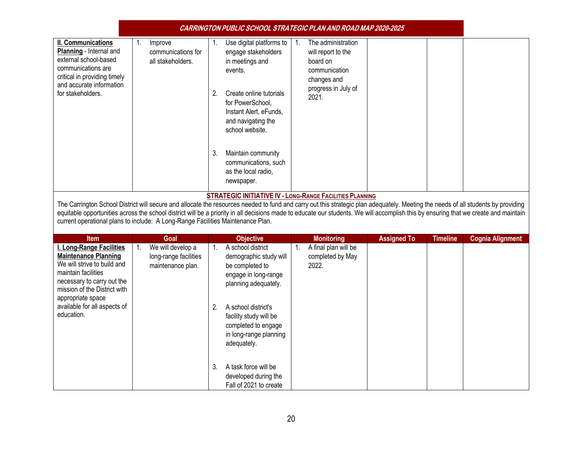|                                                                                                                                                                                                                                                |                                                                 | CARRINGTON PUBLIC SCHOOL STRATEGIC PLAN AND ROAD MAP 2020-2025                                                                                                                                                                                                                                                                                                                                                                                 |                         |
|------------------------------------------------------------------------------------------------------------------------------------------------------------------------------------------------------------------------------------------------|-----------------------------------------------------------------|------------------------------------------------------------------------------------------------------------------------------------------------------------------------------------------------------------------------------------------------------------------------------------------------------------------------------------------------------------------------------------------------------------------------------------------------|-------------------------|
| II. Communications<br>Planning - Internal and<br>external school-based<br>communications are<br>critical in providing timely<br>and accurate information<br>for stakeholders.                                                                  | 1.<br>Improve<br>communications for<br>all stakeholders.        | Use digital platforms to<br>The administration<br>$\mathbf{1}$ .<br>1.<br>engage stakeholders<br>will report to the<br>in meetings and<br>board on<br>events.<br>communication<br>changes and<br>progress in July of<br>2.<br>Create online tutorials<br>2021.<br>for PowerSchool,<br>Instant Alert, eFunds,<br>and navigating the<br>school website.<br>3.<br>Maintain community<br>communications, such<br>as the local radio,<br>newspaper. |                         |
|                                                                                                                                                                                                                                                |                                                                 | <b>STRATEGIC INITIATIVE IV - LONG-RANGE FACILITIES PLANNING</b><br>The Carrington School District will secure and allocate the resources needed to fund and carry out this strategic plan adequately. Meeting the needs of all students by providing                                                                                                                                                                                           |                         |
| current operational plans to include: A Long-Range Facilities Maintenance Plan.                                                                                                                                                                |                                                                 | equitable opportunities across the school district will be a priority in all decisions made to educate our students. We will accomplish this by ensuring that we create and maintain                                                                                                                                                                                                                                                           |                         |
| <b>Item</b>                                                                                                                                                                                                                                    | Goal                                                            | <b>Assigned To</b><br><b>Objective</b><br><b>Monitoring</b><br><b>Timeline</b>                                                                                                                                                                                                                                                                                                                                                                 | <b>Cognia Alignment</b> |
| I. Long-Range Facilities<br><b>Maintenance Planning</b><br>We will strive to build and<br>maintain facilities<br>necessary to carry out the<br>mission of the District with<br>appropriate space<br>available for all aspects of<br>education. | We will develop a<br>long-range facilities<br>maintenance plan. | A final plan will be<br>A school district<br>1.<br>completed by May<br>demographic study will<br>2022.<br>be completed to<br>engage in long-range<br>planning adequately.<br>2.<br>A school district's<br>facility study will be<br>completed to engage<br>in long-range planning<br>adequately.                                                                                                                                               |                         |
|                                                                                                                                                                                                                                                |                                                                 | 3.<br>A task force will be<br>developed during the<br>Fall of 2021 to create                                                                                                                                                                                                                                                                                                                                                                   |                         |